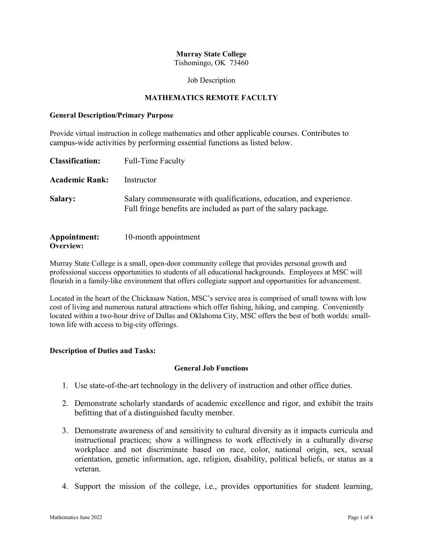## **Murray State College**

Tishomingo, OK 73460

#### Job Description

### **MATHEMATICS REMOTE FACULTY**

#### **General Description/Primary Purpose**

Provide virtual instruction in college mathematics and other applicable courses. Contributes to campus-wide activities by performing essential functions as listed below.

| <b>Classification:</b>    | <b>Full-Time Faculty</b>                                                                                                                |
|---------------------------|-----------------------------------------------------------------------------------------------------------------------------------------|
| <b>Academic Rank:</b>     | Instructor                                                                                                                              |
| <b>Salary:</b>            | Salary commensurate with qualifications, education, and experience.<br>Full fringe benefits are included as part of the salary package. |
| Appointment:<br>Overview: | 10-month appointment                                                                                                                    |

Murray State College is a small, open-door community college that provides personal growth and professional success opportunities to students of all educational backgrounds. Employees at MSC will flourish in a family-like environment that offers collegiate support and opportunities for advancement.

Located in the heart of the Chickasaw Nation, MSC's service area is comprised of small towns with low cost of living and numerous natural attractions which offer fishing, hiking, and camping. Conveniently located within a two-hour drive of Dallas and Oklahoma City, MSC offers the best of both worlds: smalltown life with access to big-city offerings.

### **Description of Duties and Tasks:**

### **General Job Functions**

- 1. Use state-of-the-art technology in the delivery of instruction and other office duties.
- 2. Demonstrate scholarly standards of academic excellence and rigor, and exhibit the traits befitting that of a distinguished faculty member.
- 3. Demonstrate awareness of and sensitivity to cultural diversity as it impacts curricula and instructional practices; show a willingness to work effectively in a culturally diverse workplace and not discriminate based on race, color, national origin, sex, sexual orientation, genetic information, age, religion, disability, political beliefs, or status as a veteran.
- 4. Support the mission of the college, i.e., provides opportunities for student learning,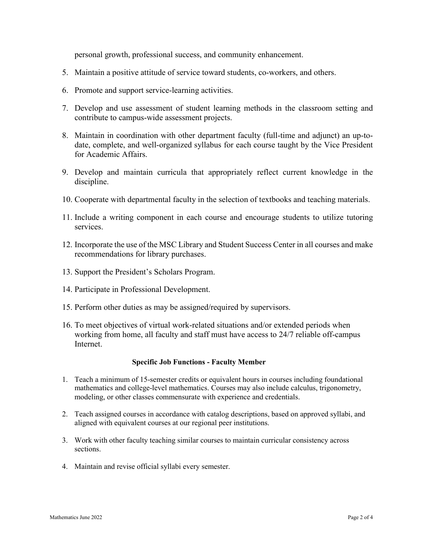personal growth, professional success, and community enhancement.

- 5. Maintain a positive attitude of service toward students, co-workers, and others.
- 6. Promote and support service-learning activities.
- 7. Develop and use assessment of student learning methods in the classroom setting and contribute to campus-wide assessment projects.
- 8. Maintain in coordination with other department faculty (full-time and adjunct) an up-todate, complete, and well-organized syllabus for each course taught by the Vice President for Academic Affairs.
- 9. Develop and maintain curricula that appropriately reflect current knowledge in the discipline.
- 10. Cooperate with departmental faculty in the selection of textbooks and teaching materials.
- 11. Include a writing component in each course and encourage students to utilize tutoring services.
- 12. Incorporate the use of the MSC Library and Student Success Center in all courses and make recommendations for library purchases.
- 13. Support the President's Scholars Program.
- 14. Participate in Professional Development.
- 15. Perform other duties as may be assigned/required by supervisors.
- 16. To meet objectives of virtual work-related situations and/or extended periods when working from home, all faculty and staff must have access to 24/7 reliable off-campus Internet.

### **Specific Job Functions - Faculty Member**

- 1. Teach a minimum of 15-semester credits or equivalent hours in courses including foundational mathematics and college-level mathematics. Courses may also include calculus, trigonometry, modeling, or other classes commensurate with experience and credentials.
- 2. Teach assigned courses in accordance with catalog descriptions, based on approved syllabi, and aligned with equivalent courses at our regional peer institutions.
- 3. Work with other faculty teaching similar courses to maintain curricular consistency across sections.
- 4. Maintain and revise official syllabi every semester.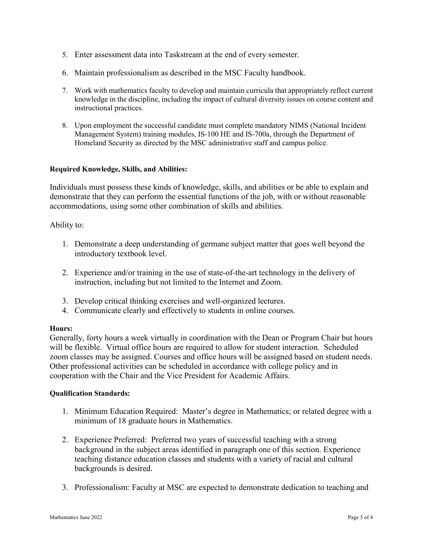- 5. Enter assessment data into Taskstream at the end of every semester.
- 6. Maintain professionalism as described in the MSC Faculty handbook.
- 7. Work with mathematics faculty to develop and maintain curricula that appropriately reflect current knowledge in the discipline, including the impact of cultural diversity issues on course content and instructional practices.
- 8. Upon employment the successful candidate must complete mandatory NIMS (National Incident Management System) training modules, IS-100 HE and IS-700a, through the Department of Homeland Security as directed by the MSC administrative staff and campus police.

### **Required Knowledge, Skills, and Abilities:**

Individuals must possess these kinds of knowledge, skills, and abilities or be able to explain and demonstrate that they can perform the essential functions of the job, with or without reasonable accommodations, using some other combination of skills and abilities.

Ability to:

- 1. Demonstrate a deep understanding of germane subject matter that goes well beyond the introductory textbook level.
- 2. Experience and/or training in the use of state-of-the-art technology in the delivery of instruction, including but not limited to the Internet and Zoom.
- 3. Develop critical thinking exercises and well-organized lectures.
- 4. Communicate clearly and effectively to students in online courses.

## **Hours:**

Generally, forty hours a week virtually in coordination with the Dean or Program Chair but hours will be flexible. Virtual office hours are required to allow for student interaction. Scheduled zoom classes may be assigned. Courses and office hours will be assigned based on student needs. Other professional activities can be scheduled in accordance with college policy and in cooperation with the Chair and the Vice President for Academic Affairs.

### **Qualification Standards:**

- 1. Minimum Education Required: Master's degree in Mathematics; or related degree with a minimum of 18 graduate hours in Mathematics.
- 2. Experience Preferred: Preferred two years of successful teaching with a strong background in the subject areas identified in paragraph one of this section. Experience teaching distance education classes and students with a variety of racial and cultural backgrounds is desired.
- 3. Professionalism: Faculty at MSC are expected to demonstrate dedication to teaching and